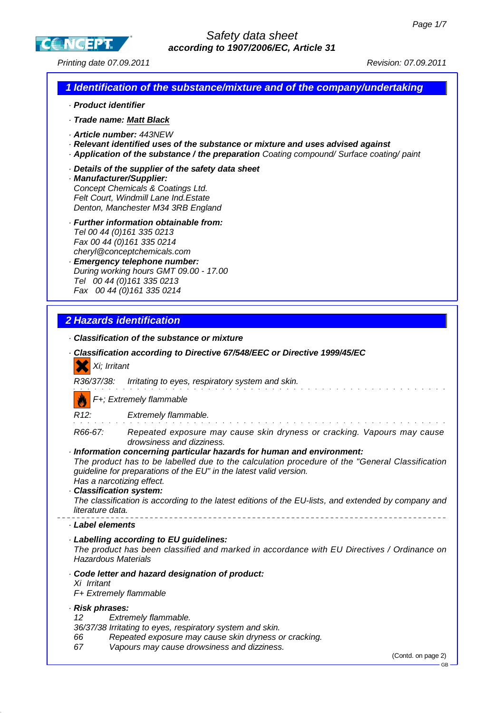GB

**CCNCEPT** 

Printing date 07.09.2011 **Printing date 07.09.2011** 

|                                                                                      | 1 Identification of the substance/mixture and of the company/undertaking                                                                                                                                                                                                                                                                                                                                                                                    |
|--------------------------------------------------------------------------------------|-------------------------------------------------------------------------------------------------------------------------------------------------------------------------------------------------------------------------------------------------------------------------------------------------------------------------------------------------------------------------------------------------------------------------------------------------------------|
| · Product identifier                                                                 |                                                                                                                                                                                                                                                                                                                                                                                                                                                             |
| · Trade name: Matt Black                                                             |                                                                                                                                                                                                                                                                                                                                                                                                                                                             |
| · Article number: 443NEW                                                             | · Relevant identified uses of the substance or mixture and uses advised against<br>· Application of the substance / the preparation Coating compound/ Surface coating/ paint                                                                                                                                                                                                                                                                                |
| · Manufacturer/Supplier:                                                             | Details of the supplier of the safety data sheet<br>Concept Chemicals & Coatings Ltd.<br>Felt Court, Windmill Lane Ind. Estate<br>Denton, Manchester M34 3RB England                                                                                                                                                                                                                                                                                        |
|                                                                                      | · Further information obtainable from:<br>Tel 00 44 (0) 161 335 0213<br>Fax 00 44 (0) 161 335 0214<br>cheryl@conceptchemicals.com<br>· Emergency telephone number:<br>During working hours GMT 09.00 - 17.00<br>Tel 00 44 (0) 161 335 0213<br>Fax 00 44 (0) 161 335 0214                                                                                                                                                                                    |
|                                                                                      |                                                                                                                                                                                                                                                                                                                                                                                                                                                             |
| 2 Hazards identification                                                             |                                                                                                                                                                                                                                                                                                                                                                                                                                                             |
| Xi; Irritant<br>R36/37/38:                                                           | Classification of the substance or mixture<br>Classification according to Directive 67/548/EEC or Directive 1999/45/EC<br>Irritating to eyes, respiratory system and skin.                                                                                                                                                                                                                                                                                  |
|                                                                                      | F+; Extremely flammable                                                                                                                                                                                                                                                                                                                                                                                                                                     |
| R <sub>12</sub> :                                                                    | Extremely flammable.                                                                                                                                                                                                                                                                                                                                                                                                                                        |
| R66-67:<br>Has a narcotizing effect.<br>· Classification system:<br>literature data. | Repeated exposure may cause skin dryness or cracking. Vapours may cause<br>drowsiness and dizziness.<br>Information concerning particular hazards for human and environment:<br>The product has to be labelled due to the calculation procedure of the "General Classification<br>guideline for preparations of the EU" in the latest valid version.<br>The classification is according to the latest editions of the EU-lists, and extended by company and |
| Label elements                                                                       |                                                                                                                                                                                                                                                                                                                                                                                                                                                             |
| <b>Hazardous Materials</b>                                                           | · Labelling according to EU guidelines:<br>The product has been classified and marked in accordance with EU Directives / Ordinance on                                                                                                                                                                                                                                                                                                                       |
| Xi Irritant<br>F+ Extremely flammable                                                | · Code letter and hazard designation of product:                                                                                                                                                                                                                                                                                                                                                                                                            |
| · Risk phrases:<br>12<br>66<br>67                                                    | Extremely flammable.<br>36/37/38 Irritating to eyes, respiratory system and skin.<br>Repeated exposure may cause skin dryness or cracking.<br>Vapours may cause drowsiness and dizziness.<br>(Contd. on page 2)                                                                                                                                                                                                                                             |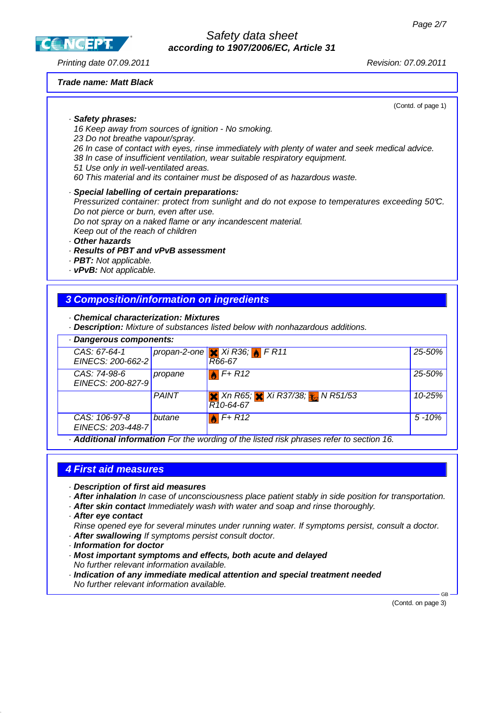**CCNCEPT** 

# Safety data sheet **according to 1907/2006/EC, Article 31**

Printing date 07.09.2011 Revision: 07.09.2011

#### **Trade name: Matt Black**

(Contd. of page 1)

#### · **Safety phrases:**

16 Keep away from sources of ignition - No smoking.

23 Do not breathe vapour/spray.

26 In case of contact with eyes, rinse immediately with plenty of water and seek medical advice.

38 In case of insufficient ventilation, wear suitable respiratory equipment.

- 51 Use only in well-ventilated areas.
- 60 This material and its container must be disposed of as hazardous waste.
- · **Special labelling of certain preparations:**
- Pressurized container: protect from sunlight and do not expose to temperatures exceeding 50°C. Do not pierce or burn, even after use.

Do not spray on a naked flame or any incandescent material.

Keep out of the reach of children

· **Other hazards**

#### · **Results of PBT and vPvB assessment**

- · **PBT:** Not applicable.
- · **vPvB:** Not applicable.

### **3 Composition/information on ingredients**

- · **Chemical characterization: Mixtures**
- · **Description:** Mixture of substances listed below with nonhazardous additions.

| · Dangerous components:                                                               |              |                                                                               |            |  |
|---------------------------------------------------------------------------------------|--------------|-------------------------------------------------------------------------------|------------|--|
| CAS: 67-64-1<br>EINECS: 200-662-2                                                     |              | propan-2-one $\mathbf{\times}$ Xi R36; $\mathbf{\rightarrow}$ F R11<br>R66-67 | 25-50%     |  |
| CAS: 74-98-6<br>EINECS: 200-827-9                                                     | propane      | $F+R12$                                                                       | 25-50%     |  |
|                                                                                       | <b>PAINT</b> | <b>X</b> Xn R65; <b>X</b> Xi R37/38; <b>X</b> N R51/53<br>$R10-64-67$         | $10 - 25%$ |  |
| CAS: 106-97-8<br>EINECS: 203-448-7                                                    | butane       | $F+R12$                                                                       | $5 - 10%$  |  |
| Additional information Far the wording of the listed risk phresse refer to section 16 |              |                                                                               |            |  |

· **Additional information** For the wording of the listed risk phrases refer to section 16.

## **4 First aid measures**

- · **Description of first aid measures**
- · **After inhalation** In case of unconsciousness place patient stably in side position for transportation.
- · **After skin contact** Immediately wash with water and soap and rinse thoroughly.
- · **After eye contact**

Rinse opened eye for several minutes under running water. If symptoms persist, consult a doctor. · **After swallowing** If symptoms persist consult doctor.

- · **Information for doctor**
- · **Most important symptoms and effects, both acute and delayed** No further relevant information available.
- · **Indication of any immediate medical attention and special treatment needed** No further relevant information available.

(Contd. on page 3)

GB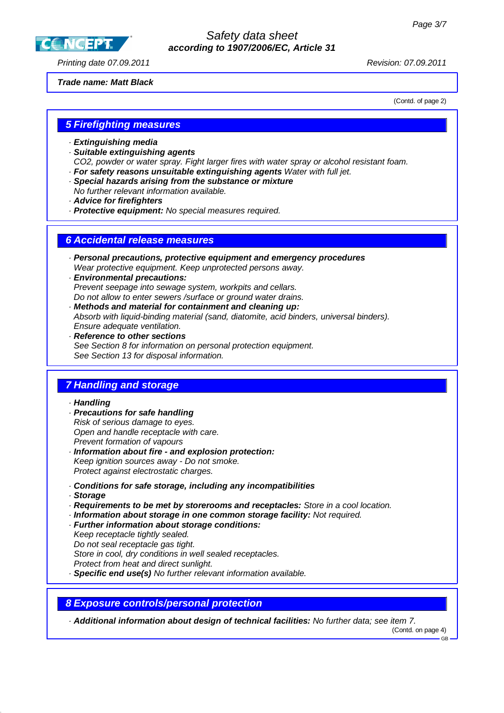**CC NGEPT** 

## Safety data sheet **according to 1907/2006/EC, Article 31**

Printing date 07.09.2011 Revision: 07.09.2011

#### **Trade name: Matt Black**

(Contd. of page 2)

## **5 Firefighting measures**

- · **Extinguishing media**
- · **Suitable extinguishing agents**
- CO2, powder or water spray. Fight larger fires with water spray or alcohol resistant foam. · **For safety reasons unsuitable extinguishing agents** Water with full jet.
- · **Special hazards arising from the substance or mixture**
- No further relevant information available.
- · **Advice for firefighters**
- · **Protective equipment:** No special measures required.

## **6 Accidental release measures**

- · **Personal precautions, protective equipment and emergency procedures** Wear protective equipment. Keep unprotected persons away.
- · **Environmental precautions:** Prevent seepage into sewage system, workpits and cellars. Do not allow to enter sewers /surface or ground water drains.
- · **Methods and material for containment and cleaning up:** Absorb with liquid-binding material (sand, diatomite, acid binders, universal binders). Ensure adequate ventilation.
- · **Reference to other sections** See Section 8 for information on personal protection equipment. See Section 13 for disposal information.

# **7 Handling and storage**

#### · **Handling**

- · **Precautions for safe handling** Risk of serious damage to eyes. Open and handle receptacle with care. Prevent formation of vapours
- · **Information about fire and explosion protection:** Keep ignition sources away - Do not smoke. Protect against electrostatic charges.
- · **Conditions for safe storage, including any incompatibilities**
- · **Storage**
- · **Requirements to be met by storerooms and receptacles:** Store in a cool location.
- · **Information about storage in one common storage facility:** Not required.
- · **Further information about storage conditions:**
- Keep receptacle tightly sealed.
- Do not seal receptacle gas tight.

Store in cool, dry conditions in well sealed receptacles.

- Protect from heat and direct sunlight.
- · **Specific end use(s)** No further relevant information available.

#### **8 Exposure controls/personal protection**

· **Additional information about design of technical facilities:** No further data; see item 7.

(Contd. on page 4)

GB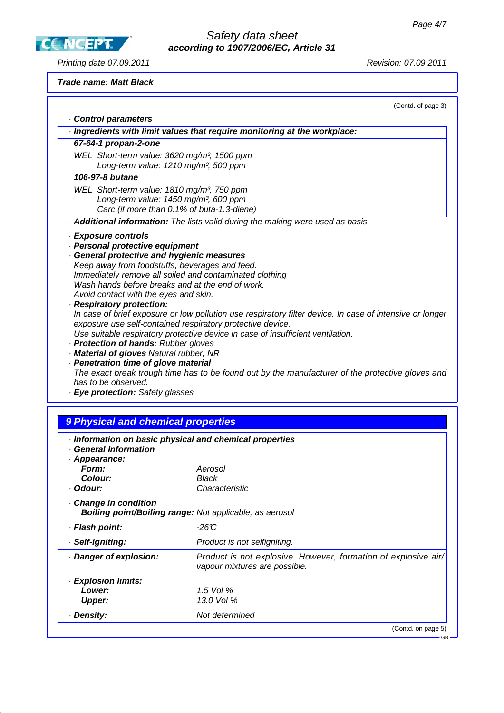**CCNCEPT** 

# Safety data sheet **according to 1907/2006/EC, Article 31**

Printing date 07.09.2011 **Principal Contract Contract Contract Contract Contract Contract Contract Contract Contract Contract Contract Contract Contract Contract Contract Contract Contract Contract Contract Contract Contra** 

## **Trade name: Matt Black**

(Contd. of page 3)

|          | . Control parameters                                                                                                                                                                                                                                                                                                                                                                                                                                                                                                            |                                                                                                                                                                                                                                                                                                                                                               |
|----------|---------------------------------------------------------------------------------------------------------------------------------------------------------------------------------------------------------------------------------------------------------------------------------------------------------------------------------------------------------------------------------------------------------------------------------------------------------------------------------------------------------------------------------|---------------------------------------------------------------------------------------------------------------------------------------------------------------------------------------------------------------------------------------------------------------------------------------------------------------------------------------------------------------|
|          |                                                                                                                                                                                                                                                                                                                                                                                                                                                                                                                                 | · Ingredients with limit values that require monitoring at the workplace:                                                                                                                                                                                                                                                                                     |
|          | 67-64-1 propan-2-one                                                                                                                                                                                                                                                                                                                                                                                                                                                                                                            |                                                                                                                                                                                                                                                                                                                                                               |
|          | WEL Short-term value: 3620 mg/m <sup>3</sup> , 1500 ppm                                                                                                                                                                                                                                                                                                                                                                                                                                                                         |                                                                                                                                                                                                                                                                                                                                                               |
|          | Long-term value: 1210 mg/m <sup>3</sup> , 500 ppm                                                                                                                                                                                                                                                                                                                                                                                                                                                                               |                                                                                                                                                                                                                                                                                                                                                               |
|          | 106-97-8 butane                                                                                                                                                                                                                                                                                                                                                                                                                                                                                                                 |                                                                                                                                                                                                                                                                                                                                                               |
|          | WEL Short-term value: 1810 mg/m <sup>3</sup> , 750 ppm                                                                                                                                                                                                                                                                                                                                                                                                                                                                          |                                                                                                                                                                                                                                                                                                                                                               |
|          | Long-term value: 1450 mg/m <sup>3</sup> , 600 ppm                                                                                                                                                                                                                                                                                                                                                                                                                                                                               |                                                                                                                                                                                                                                                                                                                                                               |
|          | Carc (if more than 0.1% of buta-1.3-diene)                                                                                                                                                                                                                                                                                                                                                                                                                                                                                      |                                                                                                                                                                                                                                                                                                                                                               |
|          |                                                                                                                                                                                                                                                                                                                                                                                                                                                                                                                                 | . Additional information: The lists valid during the making were used as basis.                                                                                                                                                                                                                                                                               |
|          | · Exposure controls<br>· Personal protective equipment<br>General protective and hygienic measures<br>Keep away from foodstuffs, beverages and feed.<br>Immediately remove all soiled and contaminated clothing<br>Wash hands before breaks and at the end of work.<br>Avoid contact with the eyes and skin.<br>· Respiratory protection:<br>· Protection of hands: Rubber gloves<br>· Material of gloves Natural rubber, NR<br>· Penetration time of glove material<br>has to be observed.<br>· Eye protection: Safety glasses | In case of brief exposure or low pollution use respiratory filter device. In case of intensive or longer<br>exposure use self-contained respiratory protective device.<br>Use suitable respiratory protective device in case of insufficient ventilation.<br>The exact break trough time has to be found out by the manufacturer of the protective gloves and |
|          |                                                                                                                                                                                                                                                                                                                                                                                                                                                                                                                                 |                                                                                                                                                                                                                                                                                                                                                               |
|          | 9 Physical and chemical properties                                                                                                                                                                                                                                                                                                                                                                                                                                                                                              |                                                                                                                                                                                                                                                                                                                                                               |
| Form:    | · General Information<br>· Appearance:<br><b>Colour:</b>                                                                                                                                                                                                                                                                                                                                                                                                                                                                        | · Information on basic physical and chemical properties<br>Aerosol<br>Black                                                                                                                                                                                                                                                                                   |
| · Odour: |                                                                                                                                                                                                                                                                                                                                                                                                                                                                                                                                 | Characteristic                                                                                                                                                                                                                                                                                                                                                |
|          | Change in condition                                                                                                                                                                                                                                                                                                                                                                                                                                                                                                             | Boiling point/Boiling range: Not applicable, as aerosol                                                                                                                                                                                                                                                                                                       |
|          | · Flash point:                                                                                                                                                                                                                                                                                                                                                                                                                                                                                                                  | $-26C$                                                                                                                                                                                                                                                                                                                                                        |
|          |                                                                                                                                                                                                                                                                                                                                                                                                                                                                                                                                 |                                                                                                                                                                                                                                                                                                                                                               |

| · Self-igniting:     | Product is not selfigniting.                                                                    |
|----------------------|-------------------------------------------------------------------------------------------------|
| Danger of explosion: | Product is not explosive. However, formation of explosive air/<br>vapour mixtures are possible. |
| · Explosion limits:  |                                                                                                 |
| Lower:               | 1.5 Vol $%$                                                                                     |
| <b>Upper:</b>        | 13.0 Vol %                                                                                      |
| · Density:           | Not determined                                                                                  |
|                      | (Contd. on page 5)                                                                              |

GB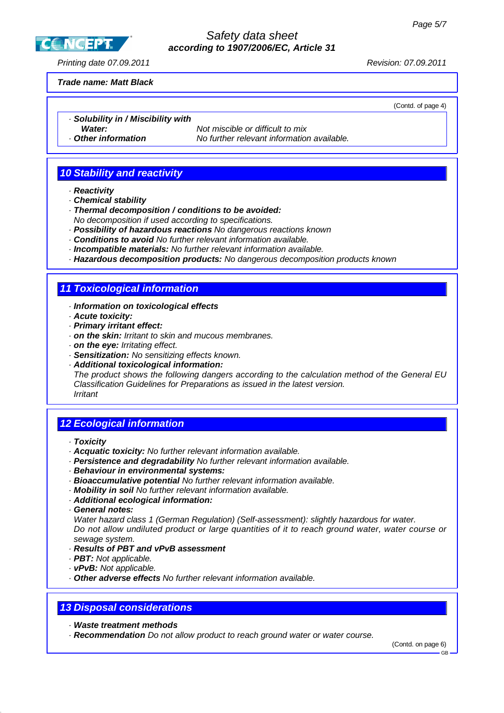Safety data sheet **according to 1907/2006/EC, Article 31**

Printing date 07.09.2011 Revision: 07.09.2011

**CCNCEPT** 

## **Trade name: Matt Black**

(Contd. of page 4)

- · **Solubility in / Miscibility with**
- 

**Water:** Not miscible or difficult to mix · **Other information** No further relevant information available.

# **10 Stability and reactivity**

- · **Reactivity**
- · **Chemical stability**
- · **Thermal decomposition / conditions to be avoided:** No decomposition if used according to specifications.
- · **Possibility of hazardous reactions** No dangerous reactions known
- · **Conditions to avoid** No further relevant information available.
- · **Incompatible materials:** No further relevant information available.
- · **Hazardous decomposition products:** No dangerous decomposition products known

## **11 Toxicological information**

#### · **Information on toxicological effects**

- · **Acute toxicity:**
- · **Primary irritant effect:**
- · **on the skin:** Irritant to skin and mucous membranes.
- · **on the eye:** Irritating effect.
- · **Sensitization:** No sensitizing effects known.
- · **Additional toxicological information:**

The product shows the following dangers according to the calculation method of the General EU Classification Guidelines for Preparations as issued in the latest version. Irritant

## **12 Ecological information**

- · **Toxicity**
- · **Acquatic toxicity:** No further relevant information available.
- · **Persistence and degradability** No further relevant information available.
- · **Behaviour in environmental systems:**
- · **Bioaccumulative potential** No further relevant information available.
- · **Mobility in soil** No further relevant information available.
- · **Additional ecological information:**
- · **General notes:**

Water hazard class 1 (German Regulation) (Self-assessment): slightly hazardous for water. Do not allow undiluted product or large quantities of it to reach ground water, water course or sewage system.

#### · **Results of PBT and vPvB assessment**

- · **PBT:** Not applicable.
- · **vPvB:** Not applicable.
- · **Other adverse effects** No further relevant information available.

## **13 Disposal considerations**

· **Waste treatment methods**

· **Recommendation** Do not allow product to reach ground water or water course.

(Contd. on page 6)

**GB**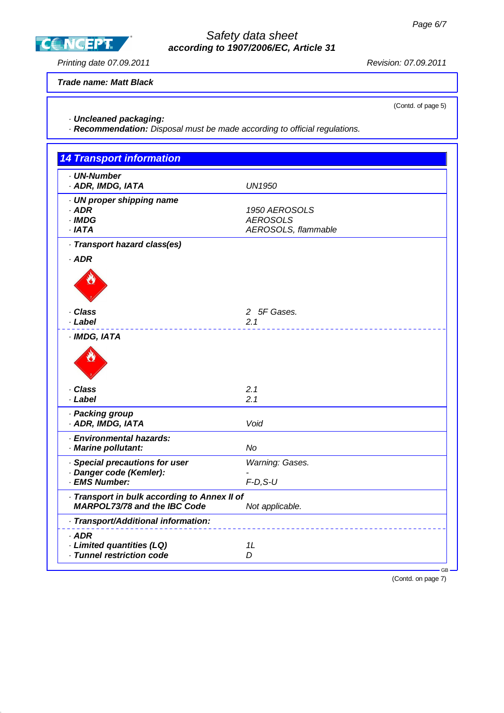Safety data sheet **according to 1907/2006/EC, Article 31**

Printing date 07.09.2011 **Principal Contract Contract Contract Contract Contract Contract Contract Contract Contract Contract Contract Contract Contract Contract Contract Contract Contract Contract Contract Contract Contra** 

**CCNCEPT** 

**Trade name: Matt Black**

(Contd. of page 5)

· **Uncleaned packaging:**

· **Recommendation:** Disposal must be made according to official regulations.

| <b>14 Transport information</b>                                                     |                                                         |
|-------------------------------------------------------------------------------------|---------------------------------------------------------|
| · UN-Number<br>· ADR, IMDG, IATA                                                    | <b>UN1950</b>                                           |
| · UN proper shipping name<br>$·$ ADR<br>$\cdot$ IMDG<br>$·$ IATA                    | 1950 AEROSOLS<br><b>AEROSOLS</b><br>AEROSOLS, flammable |
| · Transport hazard class(es)                                                        |                                                         |
| $·$ ADR                                                                             |                                                         |
|                                                                                     |                                                         |
| · Class                                                                             | 2 5F Gases.                                             |
| · Label                                                                             | 2.1                                                     |
| · IMDG, IATA                                                                        |                                                         |
|                                                                                     |                                                         |
| · Class                                                                             | 2.1                                                     |
| · Label                                                                             | 2.1                                                     |
| · Packing group<br>· ADR, IMDG, IATA                                                | Void                                                    |
| · Environmental hazards:<br>· Marine pollutant:                                     | No                                                      |
| · Special precautions for user                                                      | Warning: Gases.                                         |
| · Danger code (Kemler):                                                             |                                                         |
| · EMS Number:                                                                       | $F-D, S-U$                                              |
| · Transport in bulk according to Annex II of<br><b>MARPOL73/78 and the IBC Code</b> | Not applicable.                                         |
| · Transport/Additional information:                                                 |                                                         |
| · ADR                                                                               |                                                         |
| · Limited quantities (LQ)                                                           | 1L                                                      |
| · Tunnel restriction code                                                           | D                                                       |

(Contd. on page 7)